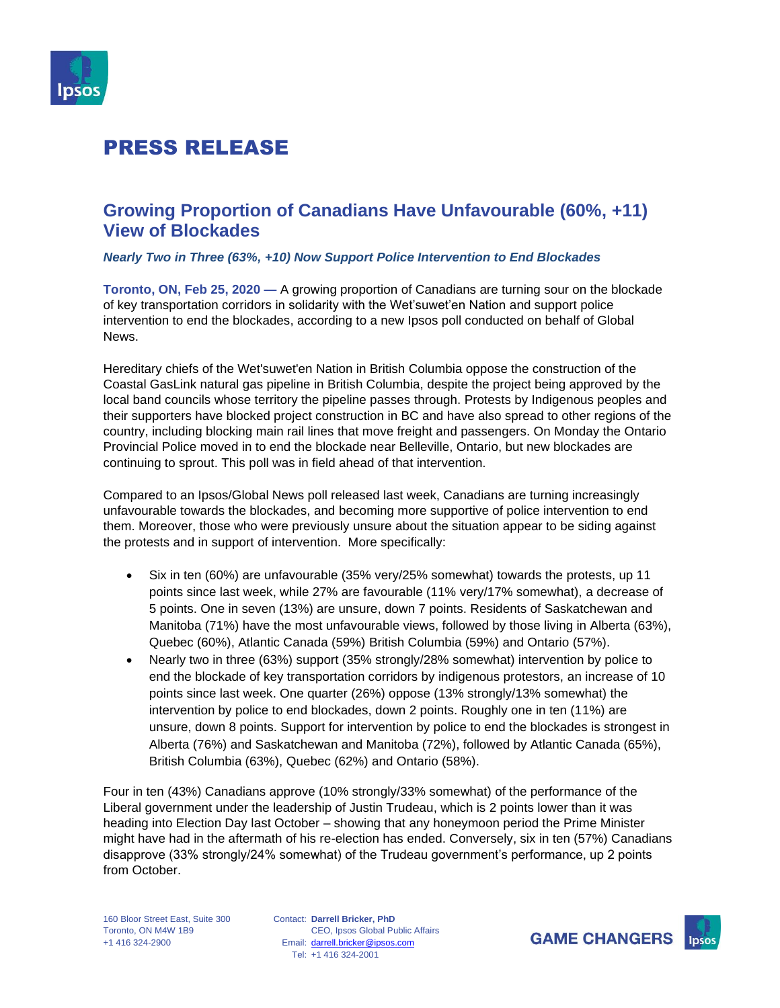

### **Growing Proportion of Canadians Have Unfavourable (60%, +11) View of Blockades**

#### *Nearly Two in Three (63%, +10) Now Support Police Intervention to End Blockades*

**Toronto, ON, Feb 25, 2020 —** A growing proportion of Canadians are turning sour on the blockade of key transportation corridors in solidarity with the Wet'suwet'en Nation and support police intervention to end the blockades, according to a new Ipsos poll conducted on behalf of Global News.

Hereditary chiefs of the Wet'suwet'en Nation in British Columbia oppose the construction of the Coastal GasLink natural gas pipeline in British Columbia, despite the project being approved by the local band councils whose territory the pipeline passes through. Protests by Indigenous peoples and their supporters have blocked project construction in BC and have also spread to other regions of the country, including blocking main rail lines that move freight and passengers. On Monday the Ontario Provincial Police moved in to end the blockade near Belleville, Ontario, but new blockades are continuing to sprout. This poll was in field ahead of that intervention.

Compared to an Ipsos/Global News poll released last week, Canadians are turning increasingly unfavourable towards the blockades, and becoming more supportive of police intervention to end them. Moreover, those who were previously unsure about the situation appear to be siding against the protests and in support of intervention. More specifically:

- Six in ten (60%) are unfavourable (35% very/25% somewhat) towards the protests, up 11 points since last week, while 27% are favourable (11% very/17% somewhat), a decrease of 5 points. One in seven (13%) are unsure, down 7 points. Residents of Saskatchewan and Manitoba (71%) have the most unfavourable views, followed by those living in Alberta (63%), Quebec (60%), Atlantic Canada (59%) British Columbia (59%) and Ontario (57%).
- Nearly two in three (63%) support (35% strongly/28% somewhat) intervention by police to end the blockade of key transportation corridors by indigenous protestors, an increase of 10 points since last week. One quarter (26%) oppose (13% strongly/13% somewhat) the intervention by police to end blockades, down 2 points. Roughly one in ten (11%) are unsure, down 8 points. Support for intervention by police to end the blockades is strongest in Alberta (76%) and Saskatchewan and Manitoba (72%), followed by Atlantic Canada (65%), British Columbia (63%), Quebec (62%) and Ontario (58%).

Four in ten (43%) Canadians approve (10% strongly/33% somewhat) of the performance of the Liberal government under the leadership of Justin Trudeau, which is 2 points lower than it was heading into Election Day last October – showing that any honeymoon period the Prime Minister might have had in the aftermath of his re-election has ended. Conversely, six in ten (57%) Canadians disapprove (33% strongly/24% somewhat) of the Trudeau government's performance, up 2 points from October.

Contact: **Darrell Bricker, PhD** Email: [darrell.bricker@ipsos.com](mailto:sean.simpson@ipsos.com) Tel: +1 416 324-2001 CEO, Ipsos Global Public Affairs



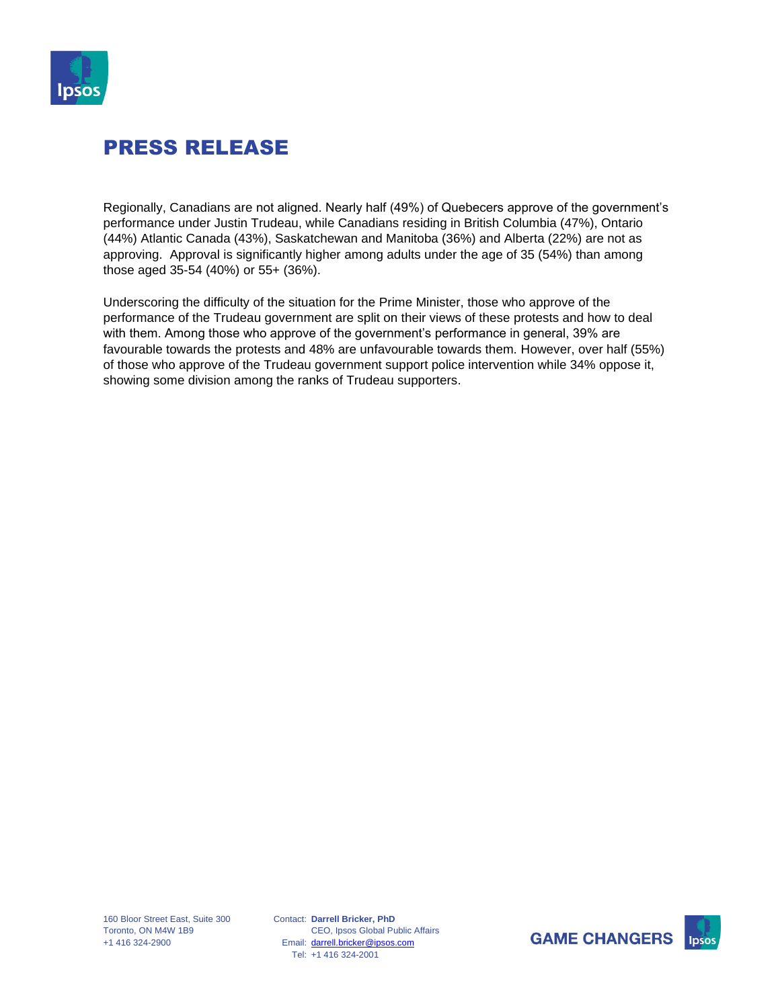

Regionally, Canadians are not aligned. Nearly half (49%) of Quebecers approve of the government's performance under Justin Trudeau, while Canadians residing in British Columbia (47%), Ontario (44%) Atlantic Canada (43%), Saskatchewan and Manitoba (36%) and Alberta (22%) are not as approving. Approval is significantly higher among adults under the age of 35 (54%) than among those aged 35-54 (40%) or 55+ (36%).

Underscoring the difficulty of the situation for the Prime Minister, those who approve of the performance of the Trudeau government are split on their views of these protests and how to deal with them. Among those who approve of the government's performance in general, 39% are favourable towards the protests and 48% are unfavourable towards them. However, over half (55%) of those who approve of the Trudeau government support police intervention while 34% oppose it, showing some division among the ranks of Trudeau supporters.



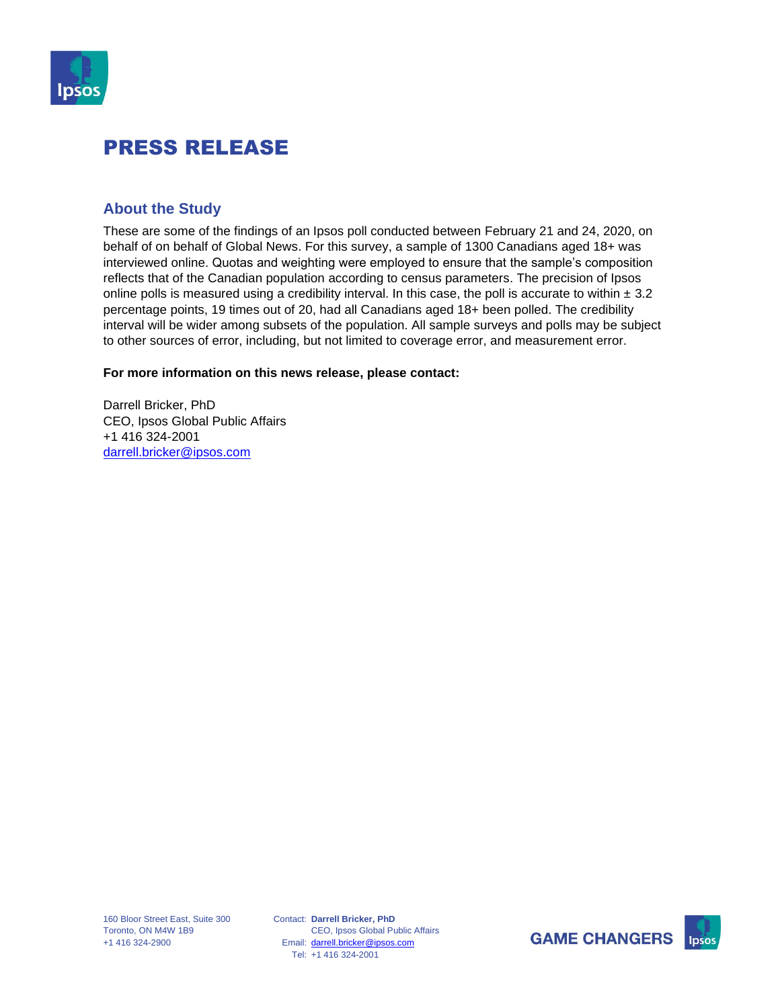

#### **About the Study**

These are some of the findings of an Ipsos poll conducted between February 21 and 24, 2020, on behalf of on behalf of Global News. For this survey, a sample of 1300 Canadians aged 18+ was interviewed online. Quotas and weighting were employed to ensure that the sample's composition reflects that of the Canadian population according to census parameters. The precision of Ipsos online polls is measured using a credibility interval. In this case, the poll is accurate to within  $\pm 3.2$ percentage points, 19 times out of 20, had all Canadians aged 18+ been polled. The credibility interval will be wider among subsets of the population. All sample surveys and polls may be subject to other sources of error, including, but not limited to coverage error, and measurement error.

#### **For more information on this news release, please contact:**

Darrell Bricker, PhD CEO, Ipsos Global Public Affairs +1 416 324-2001 [darrell.bricker@ipsos.com](mailto:sean.simpson@ipsos.com)